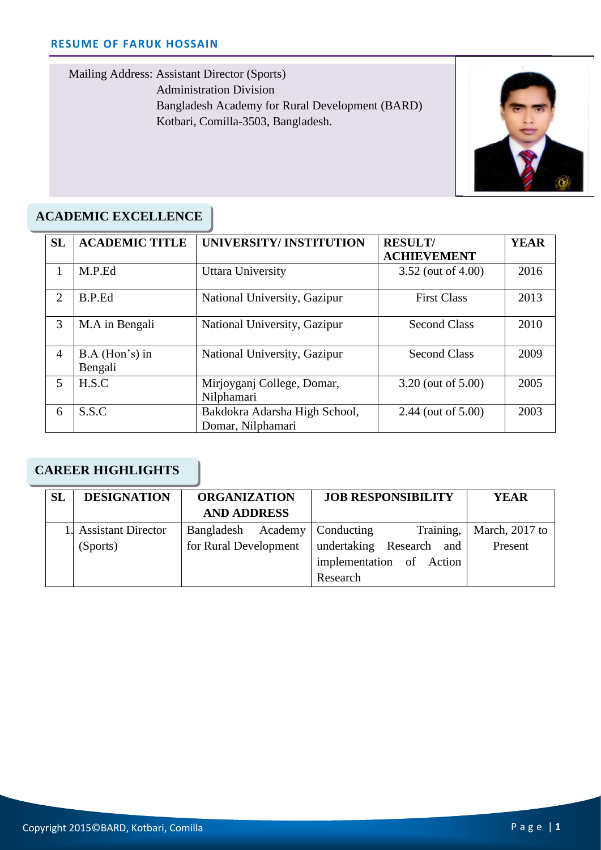Mailing Address: Assistant Director (Sports) Administration Division Bangladesh Academy for Rural Development (BARD) Kotbari, Comilla-3503, Bangladesh.



## **ACADEMIC EXCELLENCE**

| <b>SL</b>      | <b>ACADEMIC TITLE</b>       | UNIVERSITY/INSTITUTION                             | <b>RESULT/</b>      | <b>YEAR</b> |
|----------------|-----------------------------|----------------------------------------------------|---------------------|-------------|
|                |                             |                                                    | <b>ACHIEVEMENT</b>  |             |
| 1              | M.P.Ed                      | Uttara University                                  | 3.52 (out of 4.00)  | 2016        |
| $\overline{2}$ | B.P.Ed                      | National University, Gazipur                       | <b>First Class</b>  | 2013        |
| 3              | M.A in Bengali              | National University, Gazipur                       | <b>Second Class</b> | 2010        |
| 4              | $B.A$ (Hon's) in<br>Bengali | National University, Gazipur                       | <b>Second Class</b> | 2009        |
| 5              | H.S.C                       | Mirjoyganj College, Domar,<br>Nilphamari           | 3.20 (out of 5.00)  | 2005        |
| 6              | S.S.C                       | Bakdokra Adarsha High School,<br>Domar, Nilphamari | 2.44 (out of 5.00)  | 2003        |

### **CAREER HIGHLIGHTS**

| <b>SL</b> | <b>DESIGNATION</b>    | <b>ORGANIZATION</b>             |  | <b>JOB RESPONSIBILITY</b> |                          | <b>YEAR</b>    |  |
|-----------|-----------------------|---------------------------------|--|---------------------------|--------------------------|----------------|--|
|           |                       | <b>AND ADDRESS</b>              |  |                           |                          |                |  |
|           | 1. Assistant Director | Bangladesh Academy   Conducting |  |                           | Training,                | March, 2017 to |  |
|           | (Sports)              | for Rural Development           |  |                           | undertaking Research and | Present        |  |
|           |                       |                                 |  |                           | implementation of Action |                |  |
|           |                       |                                 |  | Research                  |                          |                |  |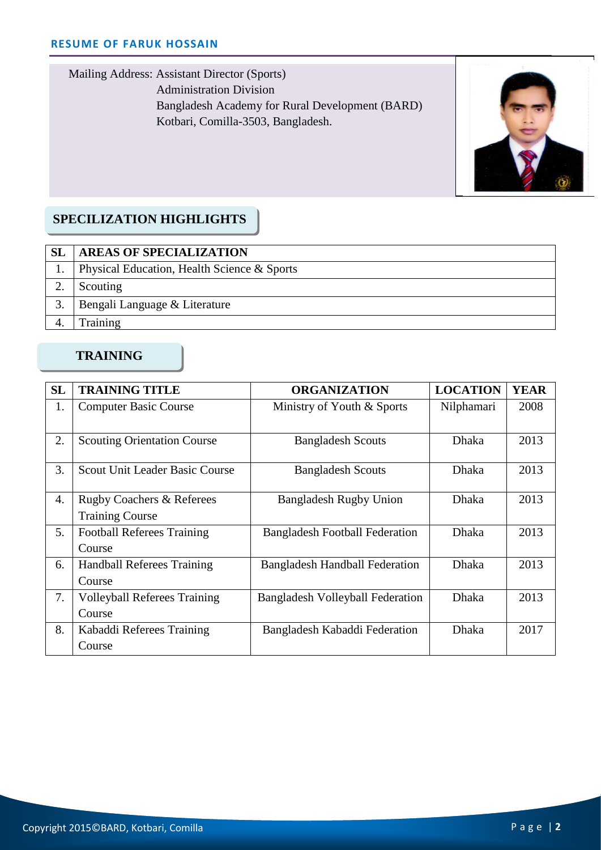Mailing Address: Assistant Director (Sports) Administration Division Bangladesh Academy for Rural Development (BARD) Kotbari, Comilla-3503, Bangladesh.



#### Cell: **SPECILIZATION HIGHLIGHTS**

| <b>SL</b> | <b>AREAS OF SPECIALIZATION</b>              |  |
|-----------|---------------------------------------------|--|
|           | Physical Education, Health Science & Sports |  |
|           | Scouting                                    |  |
|           | Bengali Language & Literature               |  |
|           | <b>Fraining</b>                             |  |

## **TRAINING**

| SL | <b>TRAINING TITLE</b>                 | <b>ORGANIZATION</b>                     | <b>LOCATION</b> | <b>YEAR</b> |
|----|---------------------------------------|-----------------------------------------|-----------------|-------------|
| 1. | <b>Computer Basic Course</b>          | Ministry of Youth & Sports              | Nilphamari      | 2008        |
|    |                                       |                                         |                 |             |
| 2. | <b>Scouting Orientation Course</b>    | <b>Bangladesh Scouts</b>                | <b>Dhaka</b>    | 2013        |
| 3. | <b>Scout Unit Leader Basic Course</b> | <b>Bangladesh Scouts</b>                | <b>Dhaka</b>    | 2013        |
| 4. | <b>Rugby Coachers &amp; Referees</b>  | <b>Bangladesh Rugby Union</b>           | <b>Dhaka</b>    | 2013        |
|    | <b>Training Course</b>                |                                         |                 |             |
| 5. | <b>Football Referees Training</b>     | <b>Bangladesh Football Federation</b>   | <b>Dhaka</b>    | 2013        |
|    | Course                                |                                         |                 |             |
| 6. | <b>Handball Referees Training</b>     | <b>Bangladesh Handball Federation</b>   | <b>Dhaka</b>    | 2013        |
|    | Course                                |                                         |                 |             |
| 7. | <b>Volleyball Referees Training</b>   | <b>Bangladesh Volleyball Federation</b> | <b>Dhaka</b>    | 2013        |
|    | Course                                |                                         |                 |             |
| 8. | Kabaddi Referees Training             | Bangladesh Kabaddi Federation           | Dhaka           | 2017        |
|    | Course                                |                                         |                 |             |